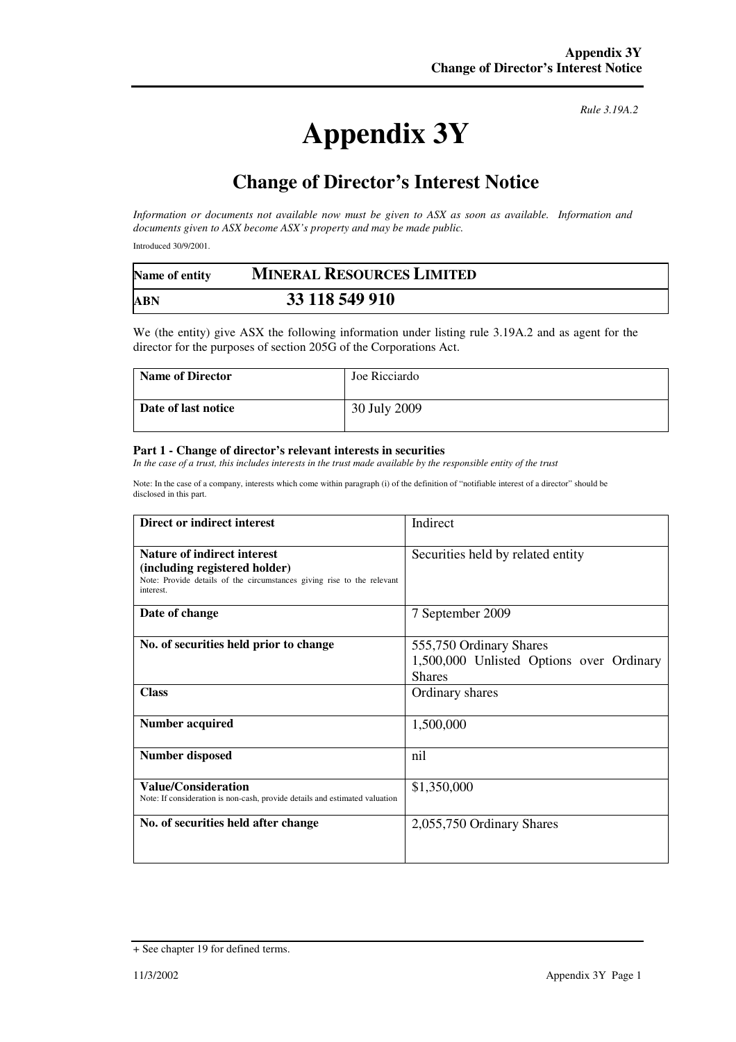## **Appendix 3Y**

*Rule 3.19A.2*

## **Change of Director's Interest Notice**

*Information or documents not available now must be given to ASX as soon as available. Information and documents given to ASX become ASX's property and may be made public.* 

Introduced 30/9/2001.

| Name of entity | <b>MINERAL RESOURCES LIMITED</b> |  |
|----------------|----------------------------------|--|
| <b>ABN</b>     | 33 118 549 910                   |  |

We (the entity) give ASX the following information under listing rule 3.19A.2 and as agent for the director for the purposes of section 205G of the Corporations Act.

| <b>Name of Director</b> | Joe Ricciardo |
|-------------------------|---------------|
| Date of last notice     | 30 July 2009  |

## **Part 1 - Change of director's relevant interests in securities**

*In the case of a trust, this includes interests in the trust made available by the responsible entity of the trust* 

Note: In the case of a company, interests which come within paragraph (i) of the definition of "notifiable interest of a director" should be disclosed in this part.

| Direct or indirect interest                                                                                                                                | Indirect                                                                             |
|------------------------------------------------------------------------------------------------------------------------------------------------------------|--------------------------------------------------------------------------------------|
| <b>Nature of indirect interest</b><br>(including registered holder)<br>Note: Provide details of the circumstances giving rise to the relevant<br>interest. | Securities held by related entity                                                    |
| Date of change                                                                                                                                             | 7 September 2009                                                                     |
| No. of securities held prior to change                                                                                                                     | 555,750 Ordinary Shares<br>1,500,000 Unlisted Options over Ordinary<br><b>Shares</b> |
| <b>Class</b>                                                                                                                                               | Ordinary shares                                                                      |
| Number acquired                                                                                                                                            | 1,500,000                                                                            |
| <b>Number disposed</b>                                                                                                                                     | nil                                                                                  |
| <b>Value/Consideration</b><br>Note: If consideration is non-cash, provide details and estimated valuation                                                  | \$1,350,000                                                                          |
| No. of securities held after change                                                                                                                        | 2,055,750 Ordinary Shares                                                            |

<sup>+</sup> See chapter 19 for defined terms.